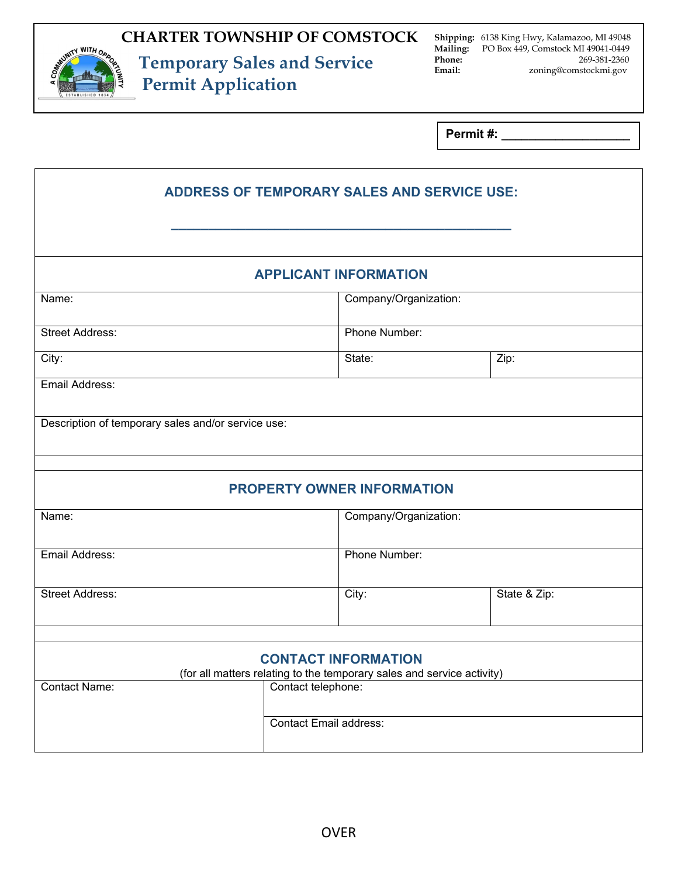

Г

 **Temporary Sales and Service Permit Application**

**Shipping:** 6138 King Hwy, Kalamazoo, MI 49048 **Mailing:** PO Box 449, Comstock MI 49041-0449<br>**Phone:** 269-381-2360 **Phone:** 269-381-2360<br> **Email:** 2001 2001 2001 2005 2005 2006 2007 2008 2009 2006 2007 2008 2010 2011 2012 2013 2014 2015 2016 2017 2018 2019 2016 2017 2018 2019 2017 2018 2019 2017 2018 2019 2019 2016 2017 2018 2019 2019 **Email:** zoning@comstockmi.gov

**Permit #:** 

| <b>ADDRESS OF TEMPORARY SALES AND SERVICE USE:</b>                                                   |                               |                       |  |  |
|------------------------------------------------------------------------------------------------------|-------------------------------|-----------------------|--|--|
|                                                                                                      |                               |                       |  |  |
|                                                                                                      |                               |                       |  |  |
| <b>APPLICANT INFORMATION</b>                                                                         |                               |                       |  |  |
| Name:                                                                                                |                               | Company/Organization: |  |  |
| <b>Street Address:</b>                                                                               | Phone Number:                 |                       |  |  |
| City:                                                                                                | State:                        | Zip:                  |  |  |
| Email Address:                                                                                       |                               |                       |  |  |
| Description of temporary sales and/or service use:                                                   |                               |                       |  |  |
| <b>PROPERTY OWNER INFORMATION</b>                                                                    |                               |                       |  |  |
| Name:                                                                                                | Company/Organization:         |                       |  |  |
| Email Address:                                                                                       | Phone Number:                 |                       |  |  |
| <b>Street Address:</b>                                                                               | City:                         | State & Zip:          |  |  |
|                                                                                                      |                               |                       |  |  |
| <b>CONTACT INFORMATION</b><br>(for all matters relating to the temporary sales and service activity) |                               |                       |  |  |
| <b>Contact Name:</b><br>Contact telephone:                                                           |                               |                       |  |  |
|                                                                                                      | <b>Contact Email address:</b> |                       |  |  |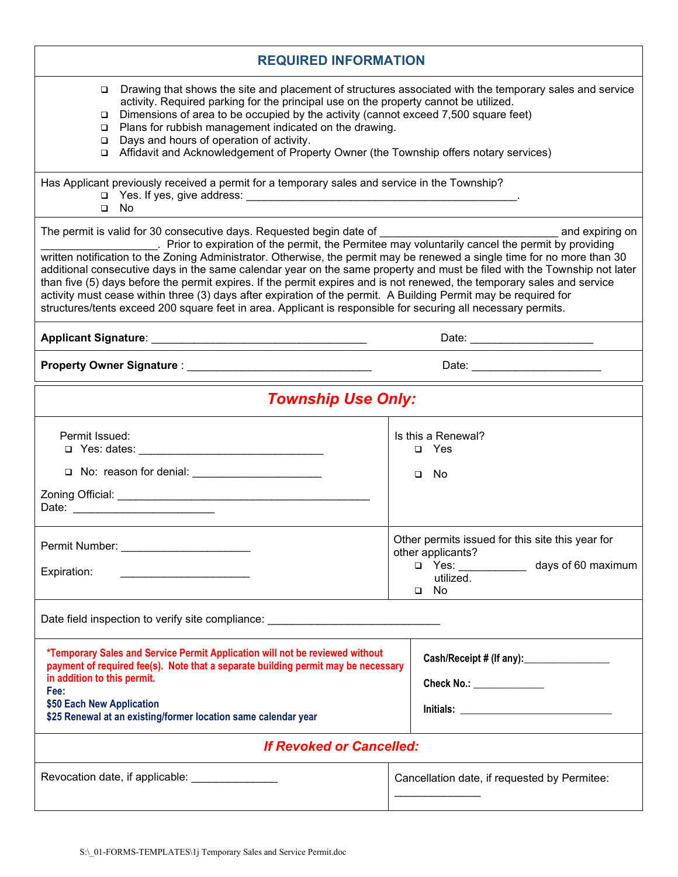| <b>REQUIRED INFORMATION</b>                                                                                                                                                                                                                                                                                                                                                                                                                                                                                                                                                                                         |                                                                                                                                         |  |  |  |
|---------------------------------------------------------------------------------------------------------------------------------------------------------------------------------------------------------------------------------------------------------------------------------------------------------------------------------------------------------------------------------------------------------------------------------------------------------------------------------------------------------------------------------------------------------------------------------------------------------------------|-----------------------------------------------------------------------------------------------------------------------------------------|--|--|--|
| Drawing that shows the site and placement of structures associated with the temporary sales and service<br>▫<br>activity. Required parking for the principal use on the property cannot be utilized.<br>Dimensions of area to be occupied by the activity (cannot exceed 7,500 square feet)<br>□<br>Plans for rubbish management indicated on the drawing.<br>$\Box$<br>Days and hours of operation of activity.<br>□<br>Affidavit and Acknowledgement of Property Owner (the Township offers notary services)<br>❏                                                                                                 |                                                                                                                                         |  |  |  |
| Has Applicant previously received a permit for a temporary sales and service in the Township?<br>No<br>$\Box$                                                                                                                                                                                                                                                                                                                                                                                                                                                                                                       |                                                                                                                                         |  |  |  |
| written notification to the Zoning Administrator. Otherwise, the permit may be renewed a single time for no more than 30<br>additional consecutive days in the same calendar year on the same property and must be filed with the Township not later<br>than five (5) days before the permit expires. If the permit expires and is not renewed, the temporary sales and service<br>activity must cease within three (3) days after expiration of the permit. A Building Permit may be required for<br>structures/tents exceed 200 square feet in area. Applicant is responsible for securing all necessary permits. |                                                                                                                                         |  |  |  |
| Date: __________________________                                                                                                                                                                                                                                                                                                                                                                                                                                                                                                                                                                                    |                                                                                                                                         |  |  |  |
|                                                                                                                                                                                                                                                                                                                                                                                                                                                                                                                                                                                                                     | Date: _________________________                                                                                                         |  |  |  |
| <b>Township Use Only:</b>                                                                                                                                                                                                                                                                                                                                                                                                                                                                                                                                                                                           |                                                                                                                                         |  |  |  |
| Permit Issued:<br>□ No: reason for denial: _______________________                                                                                                                                                                                                                                                                                                                                                                                                                                                                                                                                                  | Is this a Renewal?<br>$\Box$ Yes<br>$\square$ No                                                                                        |  |  |  |
| Permit Number: _<br>the control of the control of the control of the control of the control of the control of<br>Expiration:                                                                                                                                                                                                                                                                                                                                                                                                                                                                                        | Other permits issued for this site this year for<br>other applicants?<br>$\Box$ Yes:<br>days of 60 maximum<br>utilized.<br>$\square$ No |  |  |  |
| Date field inspection to verify site compliance: _______________________________                                                                                                                                                                                                                                                                                                                                                                                                                                                                                                                                    |                                                                                                                                         |  |  |  |
| *Temporary Sales and Service Permit Application will not be reviewed without<br>payment of required fee(s). Note that a separate building permit may be necessary<br>in addition to this permit.<br>Fee:<br>\$50 Each New Application<br>\$25 Renewal at an existing/former location same calendar year                                                                                                                                                                                                                                                                                                             | Cash/Receipt # (If any): _____________________<br>Check No.: _____________                                                              |  |  |  |
| <b>If Revoked or Cancelled:</b>                                                                                                                                                                                                                                                                                                                                                                                                                                                                                                                                                                                     |                                                                                                                                         |  |  |  |
| Revocation date, if applicable:                                                                                                                                                                                                                                                                                                                                                                                                                                                                                                                                                                                     | Cancellation date, if requested by Permitee:                                                                                            |  |  |  |